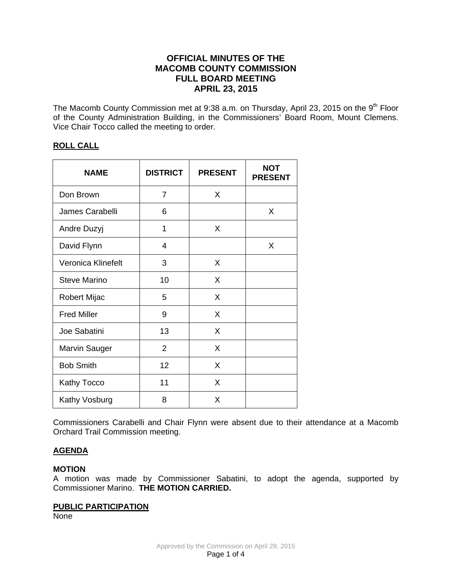# **OFFICIAL MINUTES OF THE MACOMB COUNTY COMMISSION FULL BOARD MEETING APRIL 23, 2015**

The Macomb County Commission met at 9:38 a.m. on Thursday, April 23, 2015 on the 9<sup>th</sup> Floor of the County Administration Building, in the Commissioners' Board Room, Mount Clemens. Vice Chair Tocco called the meeting to order.

# **ROLL CALL**

| <b>NAME</b>          | <b>DISTRICT</b> | <b>PRESENT</b> | <b>NOT</b><br><b>PRESENT</b> |
|----------------------|-----------------|----------------|------------------------------|
| Don Brown            | 7               | X              |                              |
| James Carabelli      | 6               |                | X                            |
| Andre Duzyj          | 1               | X              |                              |
| David Flynn          | 4               |                | X                            |
| Veronica Klinefelt   | 3               | X              |                              |
| <b>Steve Marino</b>  | 10              | X              |                              |
| Robert Mijac         | 5               | X              |                              |
| <b>Fred Miller</b>   | 9               | X              |                              |
| Joe Sabatini         | 13              | X              |                              |
| <b>Marvin Sauger</b> | $\overline{2}$  | X              |                              |
| <b>Bob Smith</b>     | 12              | X              |                              |
| Kathy Tocco          | 11              | X              |                              |
| Kathy Vosburg        | 8               | X              |                              |

Commissioners Carabelli and Chair Flynn were absent due to their attendance at a Macomb Orchard Trail Commission meeting.

# **AGENDA**

## **MOTION**

A motion was made by Commissioner Sabatini, to adopt the agenda, supported by Commissioner Marino. **THE MOTION CARRIED.** 

#### **PUBLIC PARTICIPATION**

None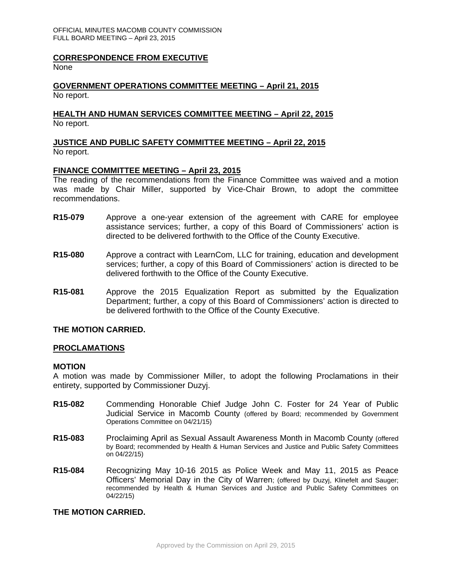#### **CORRESPONDENCE FROM EXECUTIVE**

**None** 

#### **GOVERNMENT OPERATIONS COMMITTEE MEETING – April 21, 2015** No report.

#### **HEALTH AND HUMAN SERVICES COMMITTEE MEETING – April 22, 2015** No report.

# **JUSTICE AND PUBLIC SAFETY COMMITTEE MEETING – April 22, 2015**

No report.

## **FINANCE COMMITTEE MEETING – April 23, 2015**

The reading of the recommendations from the Finance Committee was waived and a motion was made by Chair Miller, supported by Vice-Chair Brown, to adopt the committee recommendations.

- **R15-079** Approve a one-year extension of the agreement with CARE for employee assistance services; further, a copy of this Board of Commissioners' action is directed to be delivered forthwith to the Office of the County Executive.
- **R15-080** Approve a contract with LearnCom, LLC for training, education and development services; further, a copy of this Board of Commissioners' action is directed to be delivered forthwith to the Office of the County Executive.
- **R15-081** Approve the 2015 Equalization Report as submitted by the Equalization Department; further, a copy of this Board of Commissioners' action is directed to be delivered forthwith to the Office of the County Executive.

#### **THE MOTION CARRIED.**

#### **PROCLAMATIONS**

#### **MOTION**

A motion was made by Commissioner Miller, to adopt the following Proclamations in their entirety, supported by Commissioner Duzyj.

- **R15-082** Commending Honorable Chief Judge John C. Foster for 24 Year of Public Judicial Service in Macomb County (offered by Board; recommended by Government Operations Committee on 04/21/15)
- **R15-083** Proclaiming April as Sexual Assault Awareness Month in Macomb County (offered by Board; recommended by Health & Human Services and Justice and Public Safety Committees on 04/22/15)
- **R15-084** Recognizing May 10-16 2015 as Police Week and May 11, 2015 as Peace Officers' Memorial Day in the City of Warren; (offered by Duzyj, Klinefelt and Sauger; recommended by Health & Human Services and Justice and Public Safety Committees on 04/22/15)

# **THE MOTION CARRIED.**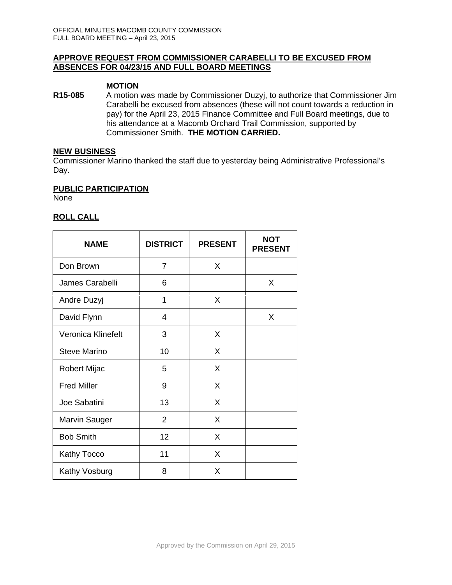## **APPROVE REQUEST FROM COMMISSIONER CARABELLI TO BE EXCUSED FROM ABSENCES FOR 04/23/15 AND FULL BOARD MEETINGS**

#### **MOTION**

**R15-085** A motion was made by Commissioner Duzyj, to authorize that Commissioner Jim Carabelli be excused from absences (these will not count towards a reduction in pay) for the April 23, 2015 Finance Committee and Full Board meetings, due to his attendance at a Macomb Orchard Trail Commission, supported by Commissioner Smith. **THE MOTION CARRIED.** 

#### **NEW BUSINESS**

Commissioner Marino thanked the staff due to yesterday being Administrative Professional's Day.

#### **PUBLIC PARTICIPATION**

None

## **ROLL CALL**

| <b>NAME</b>          | <b>DISTRICT</b> | <b>PRESENT</b> | <b>NOT</b><br><b>PRESENT</b> |
|----------------------|-----------------|----------------|------------------------------|
| Don Brown            | 7               | X              |                              |
| James Carabelli      | 6               |                | X                            |
| Andre Duzyj          | 1               | X              |                              |
| David Flynn          | 4               |                | X                            |
| Veronica Klinefelt   | 3               | X              |                              |
| <b>Steve Marino</b>  | 10              | X              |                              |
| Robert Mijac         | 5               | X              |                              |
| <b>Fred Miller</b>   | 9               | X              |                              |
| Joe Sabatini         | 13              | X              |                              |
| <b>Marvin Sauger</b> | 2               | X              |                              |
| <b>Bob Smith</b>     | 12              | X              |                              |
| Kathy Tocco          | 11              | X              |                              |
| Kathy Vosburg        | 8               | X              |                              |